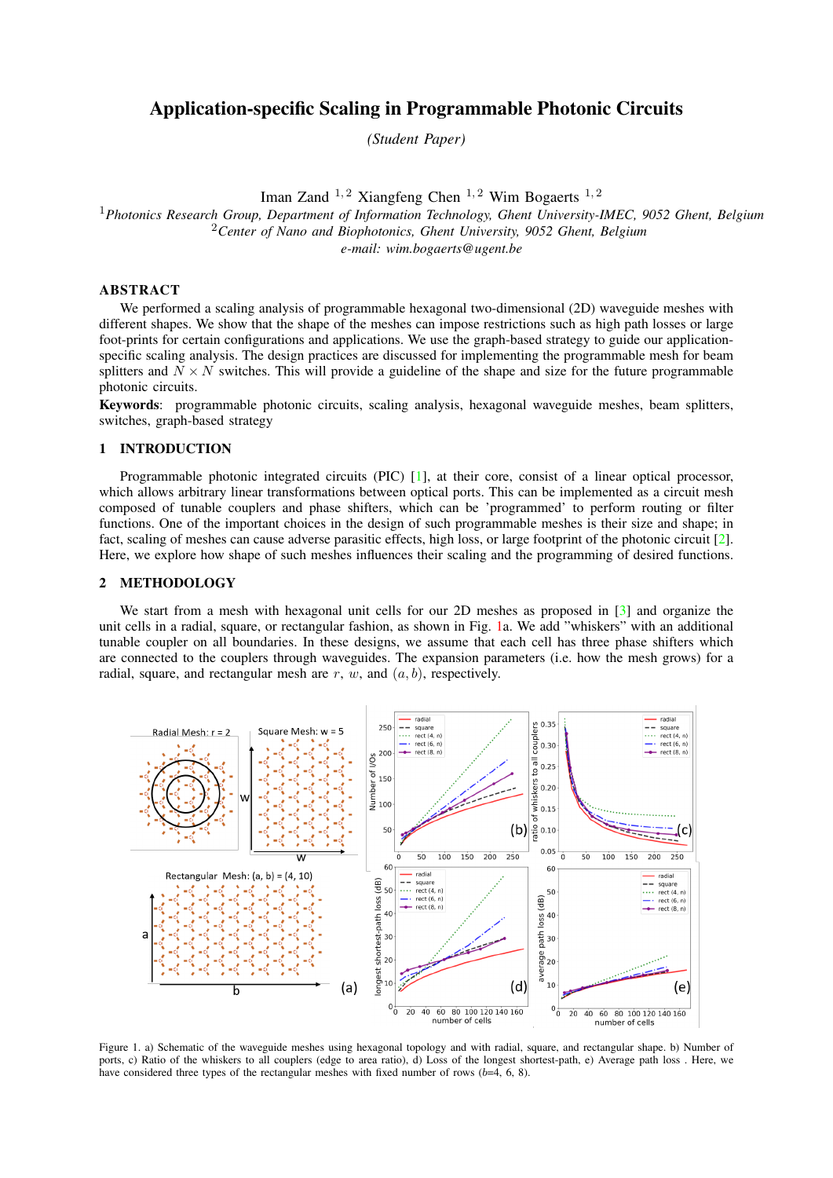# Application-specific Scaling in Programmable Photonic Circuits

*(Student Paper)*

Iman Zand  $^{1,2}$  Xiangfeng Chen  $^{1,2}$  Wim Bogaerts  $^{1,2}$ <sup>1</sup>*Photonics Research Group, Department of Information Technology, Ghent University-IMEC, 9052 Ghent, Belgium* <sup>2</sup>*Center of Nano and Biophotonics, Ghent University, 9052 Ghent, Belgium e-mail: wim.bogaerts@ugent.be*

## ABSTRACT

We performed a scaling analysis of programmable hexagonal two-dimensional (2D) waveguide meshes with different shapes. We show that the shape of the meshes can impose restrictions such as high path losses or large foot-prints for certain configurations and applications. We use the graph-based strategy to guide our applicationspecific scaling analysis. The design practices are discussed for implementing the programmable mesh for beam splitters and  $N \times N$  switches. This will provide a guideline of the shape and size for the future programmable photonic circuits.

Keywords: programmable photonic circuits, scaling analysis, hexagonal waveguide meshes, beam splitters, switches, graph-based strategy

#### 1 INTRODUCTION

Programmable photonic integrated circuits (PIC) [\[1\]](#page-2-0), at their core, consist of a linear optical processor, which allows arbitrary linear transformations between optical ports. This can be implemented as a circuit mesh composed of tunable couplers and phase shifters, which can be 'programmed' to perform routing or filter functions. One of the important choices in the design of such programmable meshes is their size and shape; in fact, scaling of meshes can cause adverse parasitic effects, high loss, or large footprint of the photonic circuit [\[2\]](#page-2-1). Here, we explore how shape of such meshes influences their scaling and the programming of desired functions.

## 2 METHODOLOGY

We start from a mesh with hexagonal unit cells for our 2D meshes as proposed in [\[3\]](#page-2-2) and organize the unit cells in a radial, square, or rectangular fashion, as shown in Fig. [1a](#page-0-0). We add "whiskers" with an additional tunable coupler on all boundaries. In these designs, we assume that each cell has three phase shifters which are connected to the couplers through waveguides. The expansion parameters (i.e. how the mesh grows) for a radial, square, and rectangular mesh are r, w, and  $(a, b)$ , respectively.



<span id="page-0-0"></span>Figure 1. a) Schematic of the waveguide meshes using hexagonal topology and with radial, square, and rectangular shape. b) Number of ports, c) Ratio of the whiskers to all couplers (edge to area ratio), d) Loss of the longest shortest-path, e) Average path loss . Here, we have considered three types of the rectangular meshes with fixed number of rows  $(b=4, 6, 8)$ .